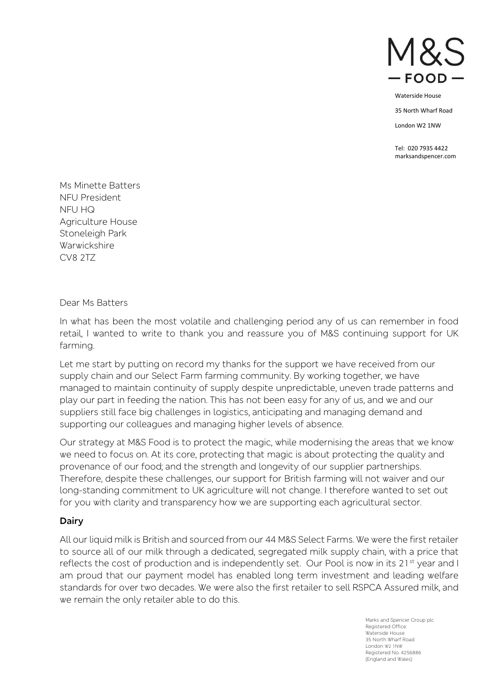

35 North Wharf Road

London W2 1NW

Tel: 020 7935 4422 marksandspencer.com

Ms Minette Batters NFU President NFU HQ Agriculture House Stoneleigh Park Warwickshire CV8 2TZ

Dear Ms Batters

In what has been the most volatile and challenging period any of us can remember in food retail, I wanted to write to thank you and reassure you of M&S continuing support for UK farming.

Let me start by putting on record my thanks for the support we have received from our supply chain and our Select Farm farming community. By working together, we have managed to maintain continuity of supply despite unpredictable, uneven trade patterns and play our part in feeding the nation. This has not been easy for any of us, and we and our suppliers still face big challenges in logistics, anticipating and managing demand and supporting our colleagues and managing higher levels of absence.

Our strategy at M&S Food is to protect the magic, while modernising the areas that we know we need to focus on. At its core, protecting that magic is about protecting the quality and provenance of our food; and the strength and longevity of our supplier partnerships. Therefore, despite these challenges, our support for British farming will not waiver and our long-standing commitment to UK agriculture will not change. I therefore wanted to set out for you with clarity and transparency how we are supporting each agricultural sector.

#### **Dairy**

All our liquid milk is British and sourced from our 44 M&S Select Farms. We were the first retailer to source all of our milk through a dedicated, segregated milk supply chain, with a price that reflects the cost of production and is independently set. Our Pool is now in its  $21<sup>st</sup>$  year and I am proud that our payment model has enabled long term investment and leading welfare standards for over two decades. We were also the first retailer to sell RSPCA Assured milk, and we remain the only retailer able to do this.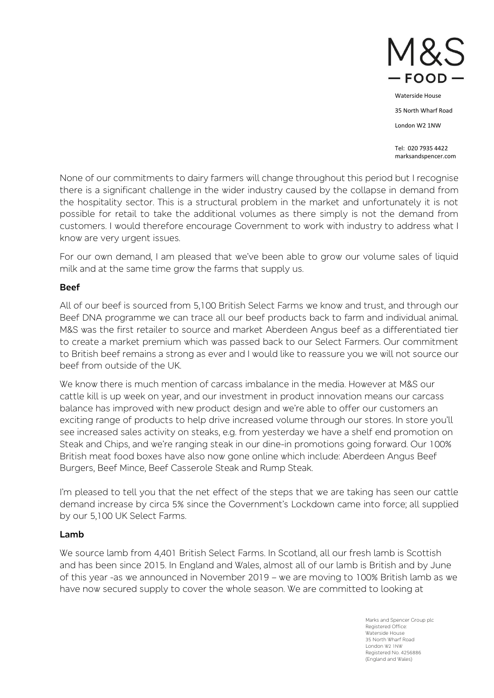

35 North Wharf Road

London W2 1NW

Tel: 020 7935 4422 marksandspencer.com

None of our commitments to dairy farmers will change throughout this period but I recognise there is a significant challenge in the wider industry caused by the collapse in demand from the hospitality sector. This is a structural problem in the market and unfortunately it is not possible for retail to take the additional volumes as there simply is not the demand from customers. I would therefore encourage Government to work with industry to address what I know are very urgent issues.

For our own demand, I am pleased that we've been able to grow our volume sales of liquid milk and at the same time grow the farms that supply us.

### **Beef**

All of our beef is sourced from 5,100 British Select Farms we know and trust, and through our Beef DNA programme we can trace all our beef products back to farm and individual animal. M&S was the first retailer to source and market Aberdeen Angus beef as a differentiated tier to create a market premium which was passed back to our Select Farmers. Our commitment to British beef remains a strong as ever and I would like to reassure you we will not source our beef from outside of the UK.

We know there is much mention of carcass imbalance in the media. However at M&S our cattle kill is up week on year, and our investment in product innovation means our carcass balance has improved with new product design and we're able to offer our customers an exciting range of products to help drive increased volume through our stores. In store you'll see increased sales activity on steaks, e.g. from yesterday we have a shelf end promotion on Steak and Chips, and we're ranging steak in our dine-in promotions going forward. Our 100% British meat food boxes have also now gone online which include: Aberdeen Angus Beef Burgers, Beef Mince, Beef Casserole Steak and Rump Steak.

I'm pleased to tell you that the net effect of the steps that we are taking has seen our cattle demand increase by circa 5% since the Government's Lockdown came into force; all supplied by our 5,100 UK Select Farms.

# **Lamb**

We source lamb from 4,401 British Select Farms. In Scotland, all our fresh lamb is Scottish and has been since 2015. In England and Wales, almost all of our lamb is British and by June of this year -as we announced in November 2019 – we are moving to 100% British lamb as we have now secured supply to cover the whole season. We are committed to looking at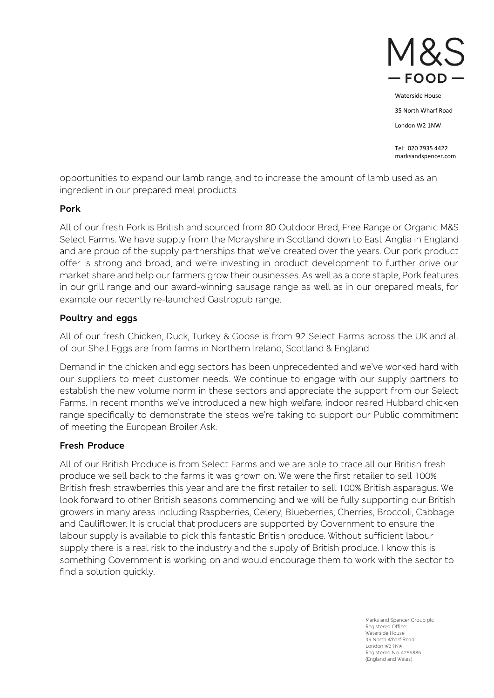

35 North Wharf Road

London W2 1NW

Tel: 020 7935 4422 marksandspencer.com

opportunities to expand our lamb range, and to increase the amount of lamb used as an ingredient in our prepared meal products

#### **Pork**

All of our fresh Pork is British and sourced from 80 Outdoor Bred, Free Range or Organic M&S Select Farms. We have supply from the Morayshire in Scotland down to East Anglia in England and are proud of the supply partnerships that we've created over the years. Our pork product offer is strong and broad, and we're investing in product development to further drive our market share and help our farmers grow their businesses. As well as a core staple, Pork features in our grill range and our award-winning sausage range as well as in our prepared meals, for example our recently re-launched Gastropub range.

## **Poultry and eggs**

All of our fresh Chicken, Duck, Turkey & Goose is from 92 Select Farms across the UK and all of our Shell Eggs are from farms in Northern Ireland, Scotland & England.

Demand in the chicken and egg sectors has been unprecedented and we've worked hard with our suppliers to meet customer needs. We continue to engage with our supply partners to establish the new volume norm in these sectors and appreciate the support from our Select Farms. In recent months we've introduced a new high welfare, indoor reared Hubbard chicken range specifically to demonstrate the steps we're taking to support our Public commitment of meeting the European Broiler Ask.

#### **Fresh Produce**

All of our British Produce is from Select Farms and we are able to trace all our British fresh produce we sell back to the farms it was grown on. We were the first retailer to sell 100% British fresh strawberries this year and are the first retailer to sell 100% British asparagus. We look forward to other British seasons commencing and we will be fully supporting our British growers in many areas including Raspberries, Celery, Blueberries, Cherries, Broccoli, Cabbage and Cauliflower. It is crucial that producers are supported by Government to ensure the labour supply is available to pick this fantastic British produce. Without sufficient labour supply there is a real risk to the industry and the supply of British produce. I know this is something Government is working on and would encourage them to work with the sector to find a solution quickly.